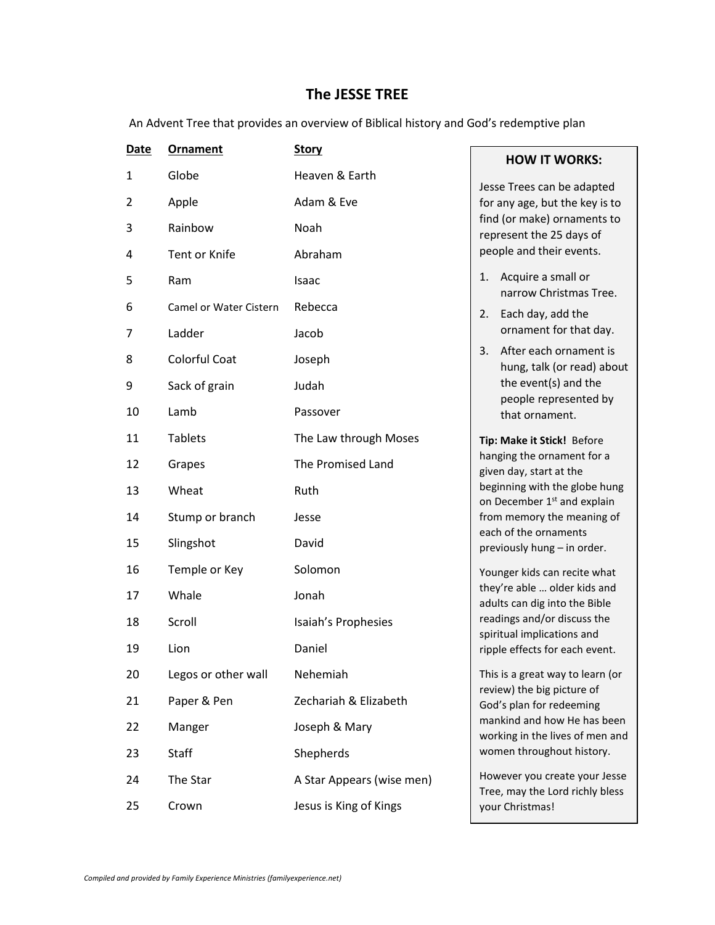## **The JESSE TREE**

An Advent Tree that provides an overview of Biblical history and God's redemptive plan

| Date | Ornament               | <b>Story</b>              |  |
|------|------------------------|---------------------------|--|
| 1    | Globe                  | Heaven & Earth            |  |
| 2    | Apple                  | Adam & Eve                |  |
| 3    | Rainbow                | Noah                      |  |
| 4    | Tent or Knife          | Abraham                   |  |
| 5    | Ram                    | Isaac                     |  |
| 6    | Camel or Water Cistern | Rebecca                   |  |
| 7    | Ladder                 | Jacob                     |  |
| 8    | Colorful Coat          | Joseph                    |  |
| 9    | Sack of grain          | Judah                     |  |
| 10   | Lamb                   | Passover                  |  |
| 11   | <b>Tablets</b>         | The Law through Moses     |  |
| 12   | Grapes                 | The Promised Land         |  |
| 13   | Wheat                  | Ruth                      |  |
| 14   | Stump or branch        | Jesse                     |  |
| 15   | Slingshot              | David                     |  |
| 16   | Temple or Key          | Solomon                   |  |
| 17   | Whale                  | Jonah                     |  |
| 18   | Scroll                 | Isaiah's Prophesies       |  |
| 19   | Lion                   | Daniel                    |  |
| 20   | Legos or other wall    | Nehemiah                  |  |
| 21   | Paper & Pen            | Zechariah & Elizabeth     |  |
| 22   | Manger                 | Joseph & Mary             |  |
| 23   | <b>Staff</b>           | Shepherds                 |  |
| 24   | The Star               | A Star Appears (wise men) |  |
| 25   | Crown                  | Jesus is King of Kings    |  |

## **HOW IT WORKS:**

Jesse Trees can be adapted for any age, but the key is to find (or make) ornaments to represent the 25 days of people and their events.

- 1. Acquire a small or narrow Christmas Tree.
- 2. Each day, add the ornament for that day.
- 3. After each ornament is hung, talk (or read) about the event(s) and the people represented by that ornament.

**Tip: Make it Stick!** Before hanging the ornament for a given day, start at the beginning with the globe hung on December 1<sup>st</sup> and explain from memory the meaning of each of the ornaments previously hung – in order.

Younger kids can recite what they're able … older kids and adults can dig into the Bible readings and/or discuss the spiritual implications and ripple effects for each event.

This is a great way to learn (or review) the big picture of God's plan for redeeming mankind and how He has been working in the lives of men and women throughout history.

However you create your Jesse Tree, may the Lord richly bless your Christmas!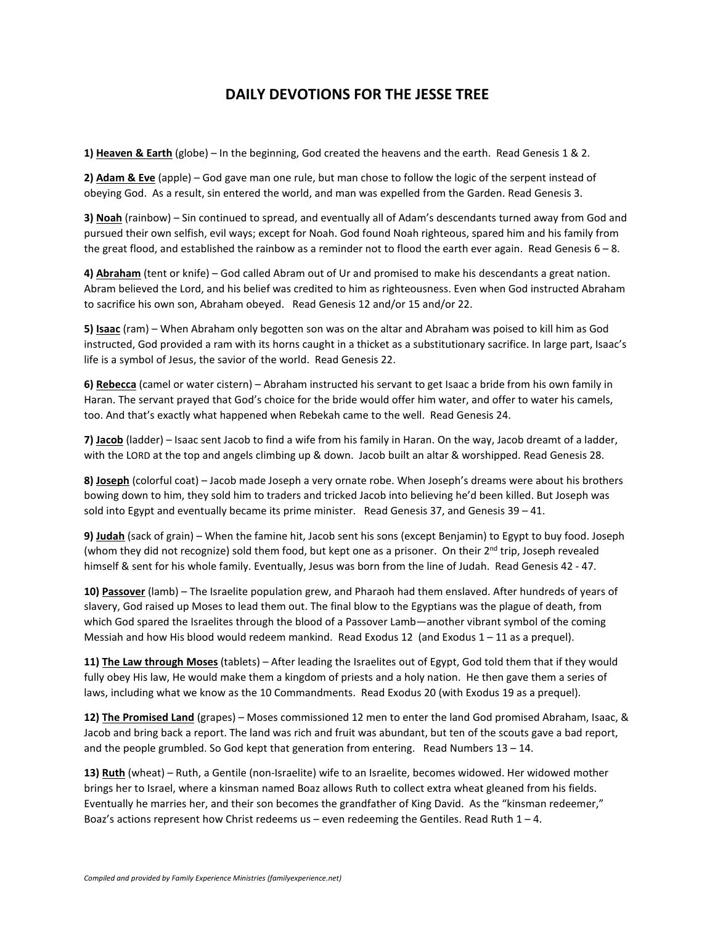## **DAILY DEVOTIONS FOR THE JESSE TREE**

**1) Heaven & Earth** (globe) – In the beginning, God created the heavens and the earth. Read Genesis 1 & 2.

**2) Adam & Eve** (apple) – God gave man one rule, but man chose to follow the logic of the serpent instead of obeying God. As a result, sin entered the world, and man was expelled from the Garden. Read Genesis 3.

**3) Noah** (rainbow) – Sin continued to spread, and eventually all of Adam's descendants turned away from God and pursued their own selfish, evil ways; except for Noah. God found Noah righteous, spared him and his family from the great flood, and established the rainbow as a reminder not to flood the earth ever again. Read Genesis  $6 - 8$ .

**4) Abraham** (tent or knife) – God called Abram out of Ur and promised to make his descendants a great nation. Abram believed the Lord, and his belief was credited to him as righteousness. Even when God instructed Abraham to sacrifice his own son, Abraham obeyed. Read Genesis 12 and/or 15 and/or 22.

**5) Isaac** (ram) – When Abraham only begotten son was on the altar and Abraham was poised to kill him as God instructed, God provided a ram with its horns caught in a thicket as a substitutionary sacrifice. In large part, Isaac's life is a symbol of Jesus, the savior of the world. Read Genesis 22.

**6) Rebecca** (camel or water cistern) – Abraham instructed his servant to get Isaac a bride from his own family in Haran. The servant prayed that God's choice for the bride would offer him water, and offer to water his camels, too. And that's exactly what happened when Rebekah came to the well. Read Genesis 24.

**7) Jacob** (ladder) – Isaac sent Jacob to find a wife from his family in Haran. On the way, Jacob dreamt of a ladder, with the LORD at the top and angels climbing up & down. Jacob built an altar & worshipped. Read Genesis 28.

**8) Joseph** (colorful coat) – Jacob made Joseph a very ornate robe. When Joseph's dreams were about his brothers bowing down to him, they sold him to traders and tricked Jacob into believing he'd been killed. But Joseph was sold into Egypt and eventually became its prime minister. Read Genesis 37, and Genesis 39 – 41.

**9) Judah** (sack of grain) – When the famine hit, Jacob sent his sons (except Benjamin) to Egypt to buy food. Joseph (whom they did not recognize) sold them food, but kept one as a prisoner. On their  $2^{nd}$  trip, Joseph revealed himself & sent for his whole family. Eventually, Jesus was born from the line of Judah. Read Genesis 42 - 47.

**10) Passover** (lamb) – The Israelite population grew, and Pharaoh had them enslaved. After hundreds of years of slavery, God raised up Moses to lead them out. The final blow to the Egyptians was the plague of death, from which God spared the Israelites through the blood of a Passover Lamb—another vibrant symbol of the coming Messiah and how His blood would redeem mankind. Read Exodus 12 (and Exodus  $1 - 11$  as a prequel).

**11) The Law through Moses** (tablets) – After leading the Israelites out of Egypt, God told them that if they would fully obey His law, He would make them a kingdom of priests and a holy nation. He then gave them a series of laws, including what we know as the 10 Commandments. Read Exodus 20 (with Exodus 19 as a prequel).

**12) The Promised Land** (grapes) – Moses commissioned 12 men to enter the land God promised Abraham, Isaac, & Jacob and bring back a report. The land was rich and fruit was abundant, but ten of the scouts gave a bad report, and the people grumbled. So God kept that generation from entering. Read Numbers 13 – 14.

**13) Ruth** (wheat) – Ruth, a Gentile (non-Israelite) wife to an Israelite, becomes widowed. Her widowed mother brings her to Israel, where a kinsman named Boaz allows Ruth to collect extra wheat gleaned from his fields. Eventually he marries her, and their son becomes the grandfather of King David. As the "kinsman redeemer," Boaz's actions represent how Christ redeems us – even redeeming the Gentiles. Read Ruth  $1 - 4$ .